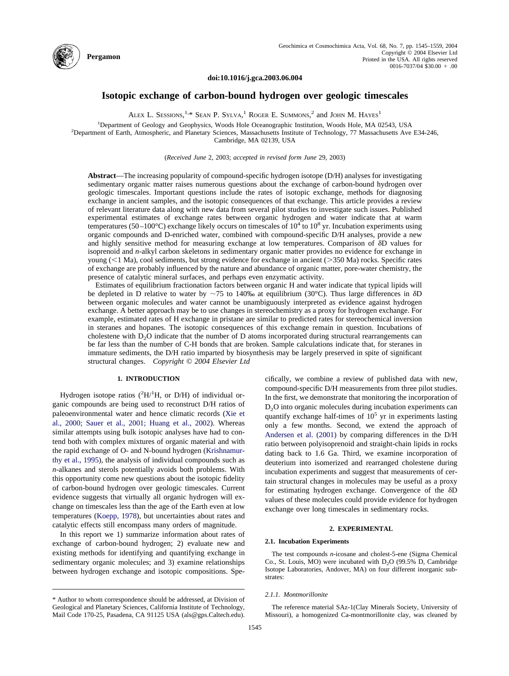

**doi:10.1016/j.gca.2003.06.004**

# **Isotopic exchange of carbon-bound hydrogen over geologic timescales**

ALEX L. SESSIONS,<sup>1,\*</sup> SEAN P. SYLVA,<sup>1</sup> ROGER E. SUMMONS,<sup>2</sup> and JOHN M. HAYES<sup>1</sup>

<sup>1</sup>Department of Geology and Geophysics, Woods Hole Oceanographic Institution, Woods Hole, MA 02543, USA<br><sup>2</sup>Department of Earth Atmospheric and Planetary Sciences Massachusetts Institute of Technology 77 Massachusetts Aye <sup>2</sup>Department of Earth, Atmospheric, and Planetary Sciences, Massachusetts Institute of Technology, 77 Massachusetts Ave E34-246, Cambridge, MA 02139, USA

(*Received June* 2, 2003; *accepted in revised form June* 29, 2003)

**Abstract**—The increasing popularity of compound-specific hydrogen isotope (D/H) analyses for investigating sedimentary organic matter raises numerous questions about the exchange of carbon-bound hydrogen over geologic timescales. Important questions include the rates of isotopic exchange, methods for diagnosing exchange in ancient samples, and the isotopic consequences of that exchange. This article provides a review of relevant literature data along with new data from several pilot studies to investigate such issues. Published experimental estimates of exchange rates between organic hydrogen and water indicate that at warm temperatures (50–100°C) exchange likely occurs on timescales of  $10^4$  to  $10^8$  yr. Incubation experiments using organic compounds and D-enriched water, combined with compound-specific D/H analyses, provide a new and highly sensitive method for measuring exchange at low temperatures. Comparison of  $\delta D$  values for isoprenoid and *n*-alkyl carbon skeletons in sedimentary organic matter provides no evidence for exchange in young  $(< 1$  Ma), cool sediments, but strong evidence for exchange in ancient  $(> 350$  Ma) rocks. Specific rates of exchange are probably influenced by the nature and abundance of organic matter, pore-water chemistry, the presence of catalytic mineral surfaces, and perhaps even enzymatic activity.

Estimates of equilibrium fractionation factors between organic H and water indicate that typical lipids will be depleted in D relative to water by  $\sim$ 75 to 140‰ at equilibrium (30°C). Thus large differences in  $\delta$ D between organic molecules and water cannot be unambiguously interpreted as evidence against hydrogen exchange. A better approach may be to use changes in stereochemistry as a proxy for hydrogen exchange. For example, estimated rates of H exchange in pristane are similar to predicted rates for stereochemical inversion in steranes and hopanes. The isotopic consequences of this exchange remain in question. Incubations of cholestene with  $D<sub>2</sub>O$  indicate that the number of D atoms incorporated during structural rearrangements can be far less than the number of C-H bonds that are broken. Sample calculations indicate that, for steranes in immature sediments, the D/H ratio imparted by biosynthesis may be largely preserved in spite of significant structural changes. *Copyright © 2004 Elsevier Ltd*

# **1. INTRODUCTION**

Hydrogen isotope ratios  $(^{2}H/^{1}H,$  or D/H) of individual organic compounds are being used to reconstruct D/H ratios of paleoenvironmental water and hence climatic records [\(Xie et](#page-14-0) [al., 2000; Sauer et al., 2001; Huang et al., 2002\)](#page-14-0). Whereas similar attempts using bulk isotopic analyses have had to contend both with complex mixtures of organic material and with the rapid exchange of O- and N-bound hydrogen [\(Krishnamur](#page-13-0)[thy et al., 1995\)](#page-13-0), the analysis of individual compounds such as *n*-alkanes and sterols potentially avoids both problems. With this opportunity come new questions about the isotopic fidelity of carbon-bound hydrogen over geologic timescales. Current evidence suggests that virtually all organic hydrogen will exchange on timescales less than the age of the Earth even at low temperatures [\(Koepp, 1978\)](#page-13-0), but uncertainties about rates and catalytic effects still encompass many orders of magnitude.

In this report we 1) summarize information about rates of exchange of carbon-bound hydrogen; 2) evaluate new and existing methods for identifying and quantifying exchange in sedimentary organic molecules; and 3) examine relationships between hydrogen exchange and isotopic compositions. Spe-

\* Author to whom correspondence should be addressed, at Division of Geological and Planetary Sciences, California Institute of Technology, Mail Code 170-25, Pasadena, CA 91125 USA (als@gps.Caltech.edu).

cifically, we combine a review of published data with new, compound-specific D/H measurements from three pilot studies. In the first, we demonstrate that monitoring the incorporation of  $D<sub>2</sub>O$  into organic molecules during incubation experiments can quantify exchange half-times of  $10<sup>5</sup>$  yr in experiments lasting only a few months. Second, we extend the approach of [Andersen et al. \(2001\)](#page-13-0) by comparing differences in the D/H ratio between polyisoprenoid and straight-chain lipids in rocks dating back to 1.6 Ga. Third, we examine incorporation of deuterium into isomerized and rearranged cholestene during incubation experiments and suggest that measurements of certain structural changes in molecules may be useful as a proxy for estimating hydrogen exchange. Convergence of the  $\delta D$ values of these molecules could provide evidence for hydrogen exchange over long timescales in sedimentary rocks.

## **2. EXPERIMENTAL**

#### **2.1. Incubation Experiments**

The test compounds *n*-icosane and cholest-5-ene (Sigma Chemical Co., St. Louis, MO) were incubated with  $D_2O$  (99.5% D, Cambridge Isotope Laboratories, Andover, MA) on four different inorganic substrates:

#### *2.1.1. Montmorillonite*

The reference material SAz-1(Clay Minerals Society, University of Missouri), a homogenized Ca-montmorillonite clay, was cleaned by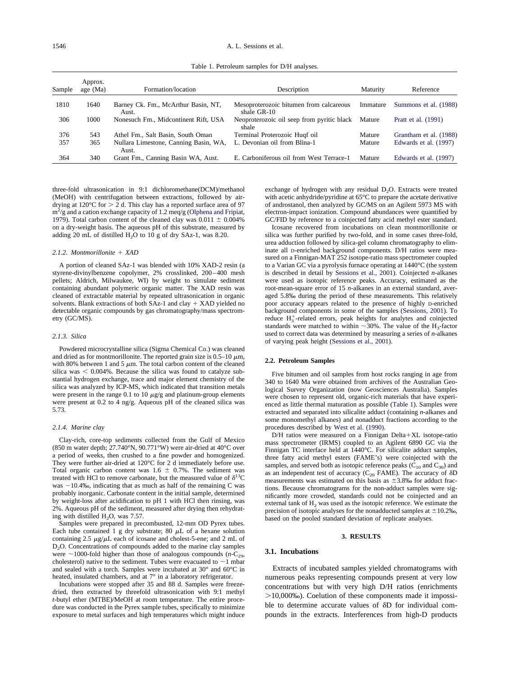Table 1. Petroleum samples for D/H analyses.

<span id="page-1-0"></span>

| Sample | Approx.<br>age $(Ma)$ | Formation/location                             | Description                                              | Maturity | Reference              |
|--------|-----------------------|------------------------------------------------|----------------------------------------------------------|----------|------------------------|
| 1810   | 1640                  | Barney Ck. Fm., McArthur Basin, NT,<br>Aust.   | Mesoproterozoic bitumen from calcareous<br>shale $GR-10$ | Immature | Summons et al. (1988)  |
| 306    | 1000                  | Nonesuch Fm., Midcontinent Rift, USA           | Neoproterozoic oil seep from pyritic black<br>shale      | Mature   | Pratt et al. (1991)    |
| 376    | 543                   | Athel Fm., Salt Basin, South Oman              | Terminal Proterozoic Hugf oil                            | Mature   | Grantham et al. (1988) |
| 357    | 365                   | Nullara Limestone, Canning Basin, WA,<br>Aust. | L. Devonian oil from Blina-1                             | Mature   | Edwards et al. (1997)  |
| 364    | 340                   | Grant Fm., Canning Basin WA, Aust.             | E. Carboniferous oil from West Terrace-1                 | Mature   | Edwards et al. (1997)  |

three-fold ultrasonication in 9:1 dichloromethane(DCM)/methanol (MeOH) with centrifugation between extractions, followed by airdrying at 120 $\degree$ C for  $> 2$  d. This clay has a reported surface area of 97  $m^2$ /g and a cation exchange capacity of 1.2 meq/g [\(Olphena and Fripiat,](#page-14-0) [1979\)](#page-14-0). Total carbon content of the cleaned clay was  $0.011 \pm 0.004\%$ on a dry-weight basis. The aqueous pH of this substrate, measured by adding 20 mL of distilled  $H_2O$  to 10 g of dry SAz-1, was 8.20.

### *2.1.2. Montmorillonite XAD*

A portion of cleaned SAz-1 was blended with 10% XAD-2 resin (a styrene-divinylbenzene copolymer, 2% crosslinked, 200–400 mesh pellets; Aldrich, Milwaukee, WI) by weight to simulate sediment containing abundant polymeric organic matter. The XAD resin was cleaned of extractable material by repeated ultrasonication in organic solvents. Blank extractions of both SAz-1 and clay  $+$  XAD yielded no detectable organic compounds by gas chromatography/mass spectrometry (GC/MS).

### *2.1.3. Silica*

Powdered microcrystalline silica (Sigma Chemical Co.) was cleaned and dried as for montmorillonite. The reported grain size is  $0.5-10 \mu m$ , with 80% between 1 and 5  $\mu$ m. The total carbon content of the cleaned silica was  $< 0.004\%$ . Because the silica was found to catalyze substantial hydrogen exchange, trace and major element chemistry of the silica was analyzed by ICP-MS, which indicated that transition metals were present in the range 0.1 to 10  $\mu$ g/g and platinum-group elements were present at 0.2 to 4 ng/g. Aqueous pH of the cleaned silica was 5.73.

#### *2.1.4. Marine clay*

Clay-rich, core-top sediments collected from the Gulf of Mexico (850 m water depth; 27.740°N, 90.771°W) were air-dried at 40°C over a period of weeks, then crushed to a fine powder and homogenized. They were further air-dried at 120°C for 2 d immediately before use. Total organic carbon content was  $1.6 \pm 0.7$ %. The sediment was treated with HCl to remove carbonate, but the measured value of  $\delta^{13}C$ was  $-10.4\%$ , indicating that as much as half of the remaining C was probably inorganic. Carbonate content in the initial sample, determined by weight-loss after acidification to pH 1 with HCl then rinsing, was 2%. Aqueous pH of the sediment, measured after drying then rehydrating with distilled  $H_2O$ , was 7.57.

Samples were prepared in precombusted, 12-mm OD Pyrex tubes. Each tube contained 1 g dry substrate; 80  $\mu$ L of a hexane solution containing 2.5  $\mu$ g/ $\mu$ L each of icosane and cholest-5-ene; and 2 mL of D2O. Concentrations of compounds added to the marine clay samples were  $\sim$ 1000-fold higher than those of analogous compounds (*n*-C<sub>29</sub>, cholesterol) native to the sediment. Tubes were evacuated to  $\sim$  1 mbar and sealed with a torch. Samples were incubated at 30° and 60°C in heated, insulated chambers, and at 7° in a laboratory refrigerator.

Incubations were stopped after 35 and 88 d. Samples were freezedried, then extracted by threefold ultrasonication with 9:1 methyl *t*-butyl ether (MTBE)/MeOH at room temperature. The entire procedure was conducted in the Pyrex sample tubes, specifically to minimize exposure to metal surfaces and high temperatures which might induce

exchange of hydrogen with any residual  $D_2O$ . Extracts were treated with acetic anhydride/pyridine at 65°C to prepare the acetate derivative of androstanol, then analyzed by GC/MS on an Agilent 5973 MS with electron-impact ionization. Compound abundances were quantified by GC/FID by reference to a coinjected fatty acid methyl ester standard.

Icosane recovered from incubations on clean montmorillonite or silica was further purified by two-fold, and in some cases three-fold, urea adduction followed by silica-gel column chromatography to eliminate all D-enriched background components. D/H ratios were measured on a Finnigan-MAT 252 isotope-ratio mass spectrometer coupled to a Varian GC via a pyrolysis furnace operating at 1440°C (the system is described in detail by [Sessions et al., 2001\)](#page-14-0). Coinjected *n*-alkanes were used as isotopic reference peaks. Accuracy, estimated as the root-mean-square error of 15 *n*-alkanes in an external standard, averaged 5.8‰ during the period of these measurements. This relatively poor accuracy appears related to the presence of highly D-enriched background components in some of the samples [\(Sessions, 2001\)](#page-14-0). To reduce H<sub>3</sub>-related errors, peak heights for analytes and coinjected standards were matched to within  $\sim$ 30%. The value of the H<sub>3</sub>-factor used to correct data was determined by measuring a series of *n*-alkanes of varying peak height [\(Sessions et al., 2001\)](#page-14-0).

#### **2.2. Petroleum Samples**

Five bitumen and oil samples from host rocks ranging in age from 340 to 1640 Ma were obtained from archives of the Australian Geological Survey Organization (now Geosciences Australia). Samples were chosen to represent old, organic-rich materials that have experienced as little thermal maturation as possible (Table 1). Samples were extracted and separated into silicalite adduct (containing *n*-alkanes and some monomethyl alkanes) and nonadduct fractions according to the procedures described by [West et al. \(1990\).](#page-14-0)

 $D/H$  ratios were measured on a Finnigan Delta $+XL$  isotope-ratio mass spectrometer (IRMS) coupled to an Agilent 6890 GC via the Finnigan TC interface held at 1440°C. For silicalite adduct samples, three fatty acid methyl esters (FAME's) were coinjected with the samples, and served both as isotopic reference peaks  $(C_{10}$  and  $C_{30})$  and as an independent test of accuracy ( $C_{20}$  FAME). The accuracy of  $\delta D$ measurements was estimated on this basis as  $\pm$ 3.8‰ for adduct fractions. Because chromatograms for the non-adduct samples were significantly more crowded, standards could not be coinjected and an external tank of  $H_2$  was used as the isotopic reference. We estimate the precision of isotopic analyses for the nonadducted samples at  $\pm 10.2$ ‰, based on the pooled standard deviation of replicate analyses.

### **3. RESULTS**

### **3.1. Incubations**

Extracts of incubated samples yielded chromatograms with numerous peaks representing compounds present at very low concentrations but with very high D/H ratios (enrichments -10,000‰). Coelution of these components made it impossible to determine accurate values of  $\delta D$  for individual compounds in the extracts. Interferences from high-D products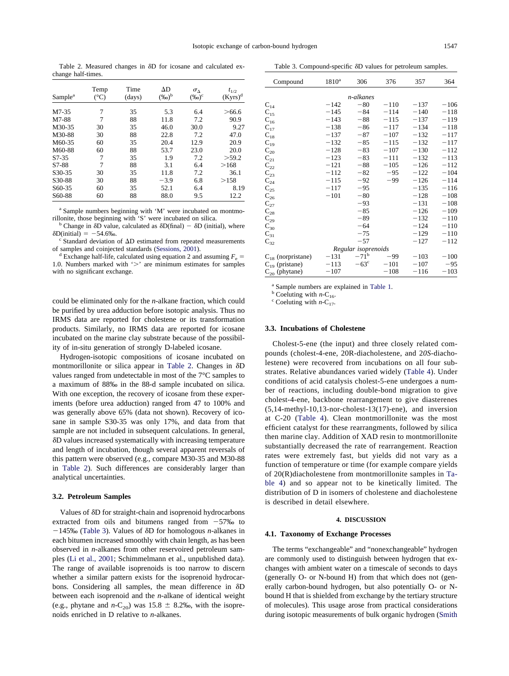<span id="page-2-0"></span>Table 2. Measured changes in  $\delta$ D for icosane and calculated exchange half-times.

| Sample <sup>a</sup> | Temp<br>$({}^{\circ}C)$ | Time<br>(days) | ΔD<br>$(\%0)^b$ | $\sigma_{\Delta}$<br>$(\%0)^c$ | $t_{1/2}$<br>$(Kyrs)^d$ |
|---------------------|-------------------------|----------------|-----------------|--------------------------------|-------------------------|
| $M7-35$             | 7                       | 35             | 5.3             | 6.4                            | >66.6                   |
| M7-88               | 7                       | 88             | 11.8            | 7.2                            | 90.9                    |
| M30-35              | 30                      | 35             | 46.0            | 30.0                           | 9.27                    |
| M30-88              | 30                      | 88             | 22.8            | 7.2                            | 47.0                    |
| M60-35              | 60                      | 35             | 20.4            | 12.9                           | 20.9                    |
| M60-88              | 60                      | 88             | 53.7            | 23.0                           | 20.0                    |
| S <sub>7</sub> -35  | 7                       | 35             | 1.9             | 7.2                            | >59.2                   |
| S7-88               | 7                       | 88             | 3.1             | 6.4                            | >168                    |
| S30-35              | 30                      | 35             | 11.8            | 7.2                            | 36.1                    |
| S30-88              | 30                      | 88             | $-3.9$          | 6.8                            | >158                    |
| S60-35              | 60                      | 35             | 52.1            | 6.4                            | 8.19                    |
| S60-88              | 60                      | 88             | 88.0            | 9.5                            | 12.2                    |

<sup>a</sup> Sample numbers beginning with 'M' were incubated on montmo-<br>rillonite, those beginning with 'S' were incubated on silica.

<sup>b</sup> Change in  $\delta$ D value, calculated as  $\delta$ D(final)  $\delta$ D (initial), where  $\delta D(\text{initial}) = -54.6\%$ .<br><sup>c</sup> Standard deviation of  $\Delta D$  estimated from repeated measurements

of samples and coinjected standards [\(Sessions, 2001\)](#page-13-0). <sup>d</sup> Exchange half-life, calculated using equation 2 and assuming *<sup>F</sup>*<sup>e</sup>

1.0. Numbers marked with  $\leq$  are minimum estimates for samples with no significant exchange.

could be eliminated only for the *n*-alkane fraction, which could be purified by urea adduction before isotopic analysis. Thus no IRMS data are reported for cholestene or its transformation products. Similarly, no IRMS data are reported for icosane incubated on the marine clay substrate because of the possibility of in-situ generation of strongly D-labeled icosane.

Hydrogen-isotopic compositions of icosane incubated on montmorillonite or silica appear in Table 2. Changes in  $\delta D$ values ranged from undetectable in most of the 7°C samples to a maximum of 88‰ in the 88-d sample incubated on silica. With one exception, the recovery of icosane from these experiments (before urea adduction) ranged from 47 to 100% and was generally above 65% (data not shown). Recovery of icosane in sample S30-35 was only 17%, and data from that sample are not included in subsequent calculations. In general, D values increased systematically with increasing temperature and length of incubation, though several apparent reversals of this pattern were observed (e.g., compare M30-35 and M30-88 in Table 2). Such differences are considerably larger than analytical uncertainties.

### **3.2. Petroleum Samples**

Values of  $\delta$ D for straight-chain and isoprenoid hydrocarbons extracted from oils and bitumens ranged from  $-57\%$  to  $-145\%$  (Table 3). Values of  $\delta$ D for homologous *n*-alkanes in each bitumen increased smoothly with chain length, as has been observed in *n*-alkanes from other reservoired petroleum samples [\(Li et al., 2001;](#page-14-0) Schimmelmann et al., unpublished data). The range of available isoprenoids is too narrow to discern whether a similar pattern exists for the isoprenoid hydrocarbons. Considering all samples, the mean difference in  $\delta D$ between each isoprenoid and the *n*-alkane of identical weight (e.g., phytane and  $n-C_{20}$ ) was 15.8  $\pm$  8.2‰, with the isoprenoids enriched in D relative to *n*-alkanes.

| Compound                              | $1810^a$ | 306                 | 376    | 357    | 364    |
|---------------------------------------|----------|---------------------|--------|--------|--------|
|                                       |          |                     |        |        |        |
|                                       |          | n-alkanes           |        |        |        |
| $C_{14}$                              | $-142$   | $-80$               | $-110$ | $-137$ | $-106$ |
| $\rm C_{15}$                          | $-145$   | $-84$               | $-114$ | $-140$ | $-118$ |
| $\rm C_{16}$                          | $-143$   | $-88$               | $-115$ | $-137$ | $-119$ |
| $\mathrm{C}_{17}$                     | $-138$   | $-86$               | $-117$ | $-134$ | $-118$ |
| $\rm{C_{18}}$                         | $-137$   | $-87$               | $-107$ | $-132$ | $-117$ |
| $\mathrm{C_{19}}$                     | $-132$   | $-85$               | $-115$ | $-132$ | $-117$ |
| $\mathrm{C}_{20}$                     | $-128$   | $-83$               | $-107$ | $-130$ | $-112$ |
| $C_{21}$                              | $-123$   | $-83$               | $-111$ | $-132$ | $-113$ |
| $C_{22}$                              | $-121$   | $-88$               | $-105$ | $-126$ | $-112$ |
| $C_{23}$                              | $-112$   | $-82$               | $-95$  | $-122$ | $-104$ |
| $\mathrm{C}_{\scriptscriptstyle{24}}$ | $-115$   | $-92$               | $-99$  | $-126$ | $-114$ |
| $\mathrm{C}_{25}$                     | $-117$   | $-95$               |        | $-135$ | $-116$ |
| $\mathrm{C}_{26}$                     | $-101$   | $-80$               |        | $-128$ | $-108$ |
| $C_{27}$                              |          | $-93$               |        | $-131$ | $-108$ |
| $\mathrm{C_{28}}$                     |          | $-85$               |        | $-126$ | $-109$ |
| $C_{29}$                              |          | $-89$               |        | $-132$ | $-110$ |
| $\mathrm{C}_{30}$                     |          | $-64$               |        | $-124$ | $-110$ |
| $\rm{C_{31}}$                         |          | $-75$               |        | $-129$ | $-110$ |
| $C_{32}$                              |          | $-57$               |        | $-127$ | $-112$ |
|                                       |          | Regular isoprenoids |        |        |        |
| $C_{18}$ (norpristane)                | $-131$   | $-71b$              | $-99$  | $-103$ | $-100$ |
| $C_{19}$ (pristane)                   | $-113$   | $-63^{\circ}$       | $-101$ | $-107$ | $-95$  |
| $C_{20}$ (phytane)                    | $-107$   |                     | $-108$ | $-116$ | $-103$ |
|                                       |          |                     |        |        |        |

Table 3. Compound-specific δD values for petroleum samples.

<sup>a</sup> Sample numbers are explained in [Table 1.](#page-1-0)<br><sup>b</sup> Coeluting with *n*-C<sub>16</sub>.<br>c Coeluting with *n*-C<sub>17</sub>.

#### **3.3. Incubations of Cholestene**

Cholest-5-ene (the input) and three closely related compounds (cholest-4-ene, 20R-diacholestene, and 2*0S*-diacholestene) were recovered from incubations on all four substrates. Relative abundances varied widely [\(Table 4\)](#page-3-0). Under conditions of acid catalysis cholest-5-ene undergoes a number of reactions, including double-bond migration to give cholest-4-ene, backbone rearrangement to give diasterenes (5,14-methyl-10,13-nor-cholest-13(17)-ene), and inversion at C-20 [\(Table 4\)](#page-3-0). Clean montmorillonite was the most efficient catalyst for these rearrangments, followed by silica then marine clay. Addition of XAD resin to montmorillonite substantially decreased the rate of rearrangement. Reaction rates were extremely fast, but yields did not vary as a function of temperature or time (for example compare yields of 20(R)diacholestene from montmorillonite samples in [Ta](#page-3-0)[ble 4\)](#page-3-0) and so appear not to be kinetically limited. The distribution of D in isomers of cholestene and diacholestene is described in detail elsewhere.

### **4. DISCUSSION**

#### **4.1. Taxonomy of Exchange Processes**

The terms "exchangeable" and "nonexchangeable" hydrogen are commonly used to distinguish between hydrogen that exchanges with ambient water on a timescale of seconds to days (generally O- or N-bound H) from that which does not (generally carbon-bound hydrogen, but also potentially O- or Nbound H that is shielded from exchange by the tertiary structure of molecules). This usage arose from practical considerations during isotopic measurements of bulk organic hydrogen (Smith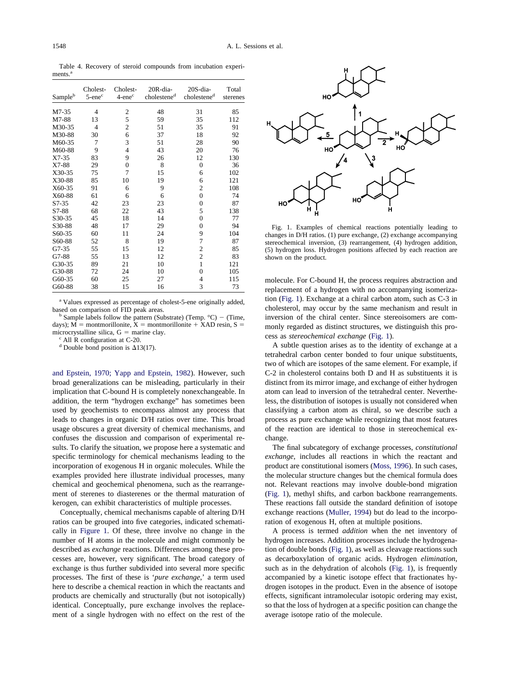<span id="page-3-0"></span>Table 4. Recovery of steroid compounds from incubation experiments.<sup>8</sup>

| Sampleb | Cholest-<br>$5$ -ene $\rm{^c}$ | Cholest-<br>$4$ -ene $c$ | 20R-dia-<br>cholestene <sup>d</sup> | 20S-dia-<br>cholestene <sup>d</sup> | Total<br>sterenes |
|---------|--------------------------------|--------------------------|-------------------------------------|-------------------------------------|-------------------|
| M7-35   | 4                              | 2                        | 48                                  | 31                                  | 85                |
| M7-88   | 13                             | 5                        | 59                                  | 35                                  | 112               |
| M30-35  | $\overline{4}$                 | $\overline{2}$           | 51                                  | 35                                  | 91                |
| M30-88  | 30                             | 6                        | 37                                  | 18                                  | 92                |
| M60-35  | 7                              | 3                        | 51                                  | 28                                  | 90                |
| M60-88  | 9                              | $\overline{4}$           | 43                                  | 20                                  | 76                |
| $X7-35$ | 83                             | 9                        | 26                                  | 12                                  | 130               |
| X7-88   | 29                             | $\theta$                 | 8                                   | $\boldsymbol{0}$                    | 36                |
| X30-35  | 75                             | 7                        | 15                                  | 6                                   | 102               |
| X30-88  | 85                             | 10                       | 19                                  | 6                                   | 121               |
| X60-35  | 91                             | 6                        | 9                                   | $\overline{c}$                      | 108               |
| X60-88  | 61                             | 6                        | 6                                   | 0                                   | 74                |
| $S7-35$ | 42                             | 23                       | 23                                  | $\theta$                            | 87                |
| S7-88   | 68                             | 22                       | 43                                  | 5                                   | 138               |
| S30-35  | 45                             | 18                       | 14                                  | $\theta$                            | 77                |
| S30-88  | 48                             | 17                       | 29                                  | $\Omega$                            | 94                |
| S60-35  | 60                             | 11                       | 24                                  | 9                                   | 104               |
| S60-88  | 52                             | 8                        | 19                                  | 7                                   | 87                |
| $G7-35$ | 55                             | 15                       | 12                                  | $\overline{c}$                      | 85                |
| G7-88   | 55                             | 13                       | 12                                  | $\overline{c}$                      | 83                |
| G30-35  | 89                             | 21                       | 10                                  | $\mathbf{1}$                        | 121               |
| G30-88  | 72                             | 24                       | 10                                  | $\theta$                            | 105               |
| G60-35  | 60                             | 25                       | 27                                  | 4                                   | 115               |
| G60-88  | 38                             | 15                       | 16                                  | 3                                   | 73                |

<sup>a</sup> Values expressed as percentage of cholest-5-ene originally added, based on comparison of FID peak areas.

<sup>b</sup> Sample labels follow the pattern (Substrate) (Temp.  $^{\circ}C$ ) – (Time, days);  $M =$  montmorillonite,  $X =$  montmorillonite  $+$  XAD resin, S = microcrystalline silica,  $G =$  marine clay.<br><sup>c</sup> All R configuration at C-20.<br><sup>d</sup> Double bond position is  $\Delta$ 13(17).

[and Epstein, 1970; Yapp and Epstein, 1982\)](#page-14-0). However, such broad generalizations can be misleading, particularly in their implication that C-bound H is completely nonexchangeable. In addition, the term "hydrogen exchange" has sometimes been used by geochemists to encompass almost any process that leads to changes in organic D/H ratios over time. This broad usage obscures a great diversity of chemical mechanisms, and confuses the discussion and comparison of experimental results. To clarify the situation, we propose here a systematic and specific terminology for chemical mechanisms leading to the incorporation of exogenous H in organic molecules. While the examples provided here illustrate individual processes, many chemical and geochemical phenomena, such as the rearrangement of sterenes to diasterenes or the thermal maturation of kerogen, can exhibit characteristics of multiple processes.

Conceptually, chemical mechanisms capable of altering D/H ratios can be grouped into five categories, indicated schematically in Figure 1. Of these, three involve no change in the number of H atoms in the molecule and might commonly be described as *exchange* reactions. Differences among these processes are, however, very significant. The broad category of exchange is thus further subdivided into several more specific processes. The first of these is '*pure exchange*,' a term used here to describe a chemical reaction in which the reactants and products are chemically and structurally (but not isotopically) identical. Conceptually, pure exchange involves the replacement of a single hydrogen with no effect on the rest of the



Fig. 1. Examples of chemical reactions potentially leading to changes in D/H ratios. (1) pure exchange, (2) exchange accompanying stereochemical inversion, (3) rearrangement, (4) hydrogen addition, (5) hydrogen loss. Hydrogen positions affected by each reaction are shown on the product.

molecule. For C-bound H, the process requires abstraction and replacement of a hydrogen with no accompanying isomerization (Fig. 1). Exchange at a chiral carbon atom, such as C-3 in cholesterol, may occur by the same mechanism and result in inversion of the chiral center. Since stereoisomers are commonly regarded as distinct structures, we distinguish this process as *stereochemical exchange* (Fig. 1).

A subtle question arises as to the identity of exchange at a tetrahedral carbon center bonded to four unique substituents, two of which are isotopes of the same element. For example, if C-2 in cholesterol contains both D and H as substituents it is distinct from its mirror image, and exchange of either hydrogen atom can lead to inversion of the tetrahedral center. Nevertheless, the distribution of isotopes is usually not considered when classifying a carbon atom as chiral, so we describe such a process as pure exchange while recognizing that most features of the reaction are identical to those in stereochemical exchange.

The final subcategory of exchange processes, *constitutional exchange*, includes all reactions in which the reactant and product are constitutional isomers [\(Moss, 1996\)](#page-14-0). In such cases, the molecular structure changes but the chemical formula does not. Relevant reactions may involve double-bond migration (Fig. 1), methyl shifts, and carbon backbone rearrangements. These reactions fall outside the standard definition of isotope exchange reactions [\(Muller, 1994\)](#page-14-0) but do lead to the incorporation of exogenous H, often at multiple positions.

A process is termed *addition* when the net inventory of hydrogen increases. Addition processes include the hydrogenation of double bonds (Fig. 1), as well as cleavage reactions such as decarboxylation of organic acids. Hydrogen *elimination*, such as in the dehydration of alcohols (Fig. 1), is frequently accompanied by a kinetic isotope effect that fractionates hydrogen isotopes in the product. Even in the absence of isotope effects, significant intramolecular isotopic ordering may exist, so that the loss of hydrogen at a specific position can change the average isotope ratio of the molecule.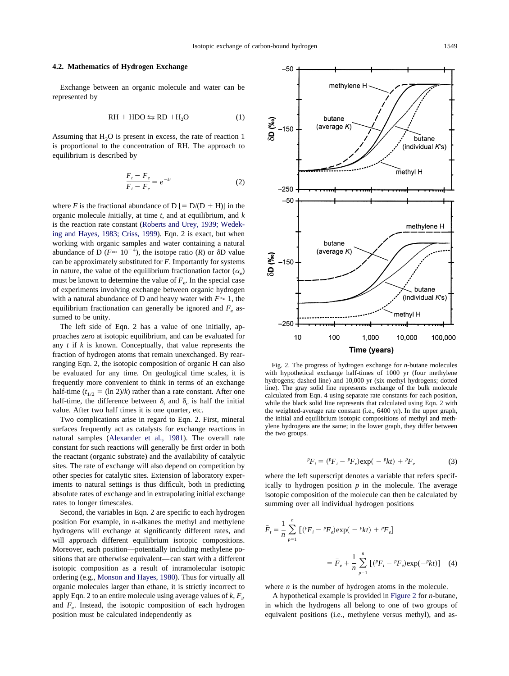### <span id="page-4-0"></span>**4.2. Mathematics of Hydrogen Exchange**

Exchange between an organic molecule and water can be represented by

$$
RH + HDO \leq RD + H_2O \tag{1}
$$

Assuming that  $H_2O$  is present in excess, the rate of reaction 1 is proportional to the concentration of RH. The approach to equilibrium is described by

$$
\frac{F_t - F_e}{F_i - F_e} = e^{-kt} \tag{2}
$$

where *F* is the fractional abundance of  $D$  [=  $D/(D + H)$ ] in the organic molecule *i*nitially, at time *t*, and at *e*quilibrium, and *k* is the reaction rate constant [\(Roberts and Urey, 1939; Wedek](#page-14-0)[ing and Hayes, 1983; Criss, 1999\)](#page-14-0). Eqn. 2 is exact, but when working with organic samples and water containing a natural abundance of D ( $F \approx 10^{-4}$ ), the isotope ratio (*R*) or  $\delta$ D value can be approximately substituted for *F*. Importantly for systems in nature, the value of the equilibrium fractionation factor  $(\alpha)$ must be known to determine the value of  $F_e$ . In the special case of experiments involving exchange between organic hydrogen with a natural abundance of D and heavy water with  $F \approx 1$ , the equilibrium fractionation can generally be ignored and  $F_e$  assumed to be unity.

The left side of Eqn. 2 has a value of one initially, approaches zero at isotopic equilibrium, and can be evaluated for any *t* if *k* is known. Conceptually, that value represents the fraction of hydrogen atoms that remain unexchanged. By rearranging Eqn. 2, the isotopic composition of organic H can also be evaluated for any time. On geological time scales, it is frequently more convenient to think in terms of an exchange half-time  $(t_{1/2} = (\ln 2)/k)$  rather than a rate constant. After one half-time, the difference between  $\delta_t$  and  $\delta_e$  is half the initial value. After two half times it is one quarter, etc.

Two complications arise in regard to Eqn. 2. First, mineral surfaces frequently act as catalysts for exchange reactions in natural samples [\(Alexander et al., 1981\)](#page-13-0). The overall rate constant for such reactions will generally be first order in both the reactant (organic substrate) and the availability of catalytic sites. The rate of exchange will also depend on competition by other species for catalytic sites. Extension of laboratory experiments to natural settings is thus difficult, both in predicting absolute rates of exchange and in extrapolating initial exchange rates to longer timescales.

Second, the variables in Eqn. 2 are specific to each hydrogen position For example, in *n*-alkanes the methyl and methylene hydrogens will exchange at significantly different rates, and will approach different equilibrium isotopic compositions. Moreover, each position—potentially including methylene positions that are otherwise equivalent—can start with a different isotopic composition as a result of intramolecular isotopic ordering (e.g., [Monson and Hayes, 1980\)](#page-14-0). Thus for virtually all organic molecules larger than ethane, it is strictly incorrect to apply Eqn. 2 to an entire molecule using average values of  $k$ ,  $F_i$ , and  $F_e$ . Instead, the isotopic composition of each hydrogen position must be calculated independently as



Fig. 2. The progress of hydrogen exchange for *n*-butane molecules with hypothetical exchange half-times of 1000 yr (four methylene hydrogens; dashed line) and 10,000 yr (six methyl hydrogens; dotted line). The gray solid line represents exchange of the bulk molecule calculated from Eqn. 4 using separate rate constants for each position, while the black solid line represents that calculated using Eqn. 2 with the weighted-average rate constant (i.e., 6400 yr). In the upper graph, the initial and equilibrium isotopic compositions of methyl and methylene hydrogens are the same; in the lower graph, they differ between the two groups.

$$
{}^{p}F_{t} = ({}^{p}F_{i} - {}^{p}F_{e})\exp(-{}^{p}kt) + {}^{p}F_{e}
$$
 (3)

where the left superscript denotes a variable that refers specifically to hydrogen position *p* in the molecule. The average isotopic composition of the molecule can then be calculated by summing over all individual hydrogen positions

$$
\bar{F}_t = \frac{1}{n} \sum_{p=1}^n \left[ ({}^p F_i - {}^p F_e) \exp(-{}^p kt) + {}^p F_e \right]
$$

$$
= \bar{F}_e + \frac{1}{n} \sum_{p=1}^n \left[ ({}^p F_i - {}^p F_e) \exp(-{}^p kt) \right] \quad (4)
$$

where *n* is the number of hydrogen atoms in the molecule.

A hypothetical example is provided in Figure 2 for *n*-butane, in which the hydrogens all belong to one of two groups of equivalent positions (i.e., methylene versus methyl), and as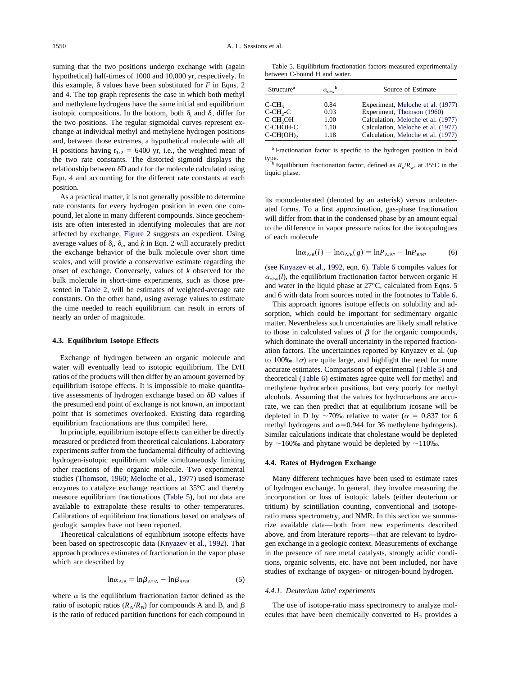suming that the two positions undergo exchange with (again hypothetical) half-times of 1000 and 10,000 yr, respectively. In this example,  $\delta$  values have been substituted for *F* in Eqns. 2 and 4. The top graph represents the case in which both methyl and methylene hydrogens have the same initial and equilibrium isotopic compositions. In the bottom, both  $\delta_i$  and  $\delta_e$  differ for the two positions. The regular sigmoidal curves represent exchange at individual methyl and methylene hydrogen positions and, between those extremes, a hypothetical molecule with all H positions having  $t_{1/2} = 6400$  yr, i.e., the weighted mean of the two rate constants. The distorted sigmoid displays the relationship between  $\delta D$  and  $t$  for the molecule calculated using Eqn. 4 and accounting for the different rate constants at each position.

As a practical matter, it is not generally possible to determine rate constants for every hydrogen position in even one compound, let alone in many different compounds. Since geochemists are often interested in identifying molecules that are *not* affected by exchange, [Figure 2](#page-4-0) suggests an expedient. Using average values of  $\delta_i$ ,  $\delta_e$ , and *k* in Eqn. 2 will accurately predict the exchange behavior of the bulk molecule over short time scales, and will provide a conservative estimate regarding the onset of exchange. Conversely, values of *k* observed for the bulk molecule in short-time experiments, such as those presented in [Table 2,](#page-2-0) will be estimates of weighted-average rate constants. On the other hand, using average values to estimate the time needed to reach equilibrium can result in errors of nearly an order of magnitude.

### **4.3. Equilibrium Isotope Effects**

Exchange of hydrogen between an organic molecule and water will eventually lead to isotopic equilibrium. The D/H ratios of the products will then differ by an amount governed by equilibrium isotope effects. It is impossible to make quantitative assessments of hydrogen exchange based on  $\delta D$  values if the presumed end point of exchange is not known, an important point that is sometimes overlooked. Existing data regarding equilibrium fractionations are thus compiled here.

In principle, equilibrium isotope effects can either be directly measured or predicted from theoretical calculations. Laboratory experiments suffer from the fundamental difficulty of achieving hydrogen-isotopic equilibrium while simultaneously limiting other reactions of the organic molecule. Two experimental studies [\(Thomson, 1960; Meloche et al., 1977\)](#page-14-0) used isomerase enzymes to catalyze exchange reactions at 35°C and thereby measure equilibrium fractionations (Table 5), but no data are available to extrapolate these results to other temperatures. Calibrations of equilibrium fractionations based on analyses of geologic samples have not been reported.

Theoretical calculations of equilibrium isotope effects have been based on spectroscopic data [\(Knyazev et al., 1992\)](#page-13-0). That approach produces estimates of fractionation in the vapor phase which are described by

$$
\ln \alpha_{A/B} = \ln \beta_{A^*/A} - \ln \beta_{B^*/B}
$$
 (5)

where  $\alpha$  is the equilibrium fractionation factor defined as the ratio of isotopic ratios ( $R_A/R_B$ ) for compounds A and B, and  $\beta$ is the ratio of reduced partition functions for each compound in

Table 5. Equilibrium fractionation factors measured experimentally between C-bound H and water.

| Structure <sup>a</sup>  | $\alpha_{\rm o/w}^{\rm b}$ | Source of Estimate                 |
|-------------------------|----------------------------|------------------------------------|
| $C$ -CH <sub>3</sub>    | 0.84                       | Experiment, Meloche et al. (1977)  |
| $C$ -CH <sub>2</sub> -C | 0.93                       | Experiment, Thomson (1960)         |
| C-C <b>H</b> ,OH        | 1.00                       | Calculation, Meloche et al. (1977) |
| C-CHOH-C                | 1.10                       | Calculation, Meloche et al. (1977) |
| $C\text{-CH(OH)},$      | 1.18                       | Calculation, Meloche et al. (1977) |

<sup>a</sup> Fractionation factor is specific to the hydrogen position in bold

type.<br><sup>b</sup> Equilibrium fractionation factor, defined as  $R_o/R_w$ , at 35°C in the liquid phase.

its monodeuterated (denoted by an asterisk) versus undeuterated forms. To a first approximation, gas-phase fractionation will differ from that in the condensed phase by an amount equal to the difference in vapor pressure ratios for the isotopologues of each molecule

$$
\ln \alpha_{A/B}(l) - \ln \alpha_{A/B}(g) = \ln P_{A/A^*} - \ln P_{B/B^*}
$$
 (6)

(see [Knyazev et al., 1992,](#page-13-0) eqn. 6). [Table 6](#page-6-0) compiles values for  $\alpha_{\rm o/w}(l)$ , the equilibrium fractionation factor between organic H and water in the liquid phase at 27°C, calculated from Eqns. 5 and 6 with data from sources noted in the footnotes to [Table 6.](#page-6-0)

This approach ignores isotope effects on solubility and adsorption, which could be important for sedimentary organic matter. Nevertheless such uncertainties are likely small relative to those in calculated values of  $\beta$  for the organic compounds, which dominate the overall uncertainty in the reported fractionation factors. The uncertainties reported by Knyazev et al. (up to 100‰  $1\sigma$ ) are quite large, and highlight the need for more accurate estimates. Comparisons of experimental (Table 5) and theoretical [\(Table 6\)](#page-6-0) estimates agree quite well for methyl and methylene hydrocarbon positions, but very poorly for methyl alcohols. Assuming that the values for hydrocarbons are accurate, we can then predict that at equilibrium icosane will be depleted in D by ~70‰ relative to water ( $\alpha = 0.837$  for 6 methyl hydrogens and  $\alpha$ =0.944 for 36 methylene hydrogens). Similar calculations indicate that cholestane would be depleted by  $\sim$ 160‰ and phytane would be depleted by  $\sim$ 110‰.

#### **4.4. Rates of Hydrogen Exchange**

Many different techniques have been used to estimate rates of hydrogen exchange. In general, they involve measuring the incorporation or loss of isotopic labels (either deuterium or tritium) by scintillation counting, conventional and isotoperatio mass spectrometry, and NMR. In this section we summarize available data—both from new experiments described above, and from literature reports—that are relevant to hydrogen exchange in a geologic context. Measurements of exchange in the presence of rare metal catalysts, strongly acidic conditions, organic solvents, etc. have not been included, nor have studies of exchange of oxygen- or nitrogen-bound hydrogen.

### *4.4.1. Deuterium label experiments*

The use of isotope-ratio mass spectrometry to analyze molecules that have been chemically converted to  $H_2$  provides a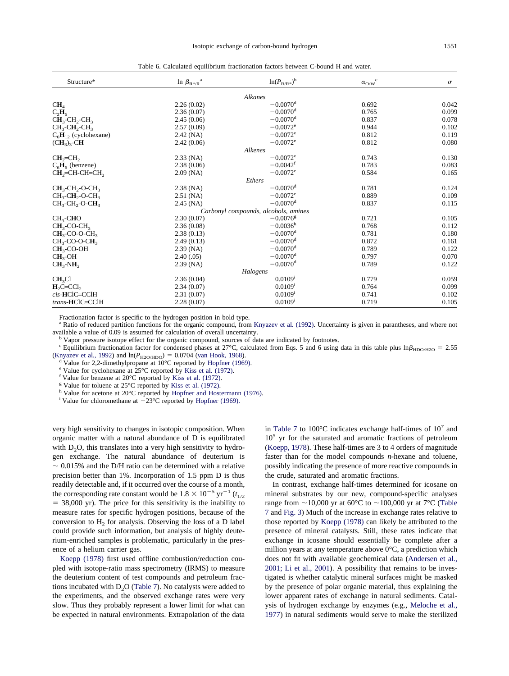| Table 6. Calculated equilibrium fractionation factors between C-bound H and water. |  |
|------------------------------------------------------------------------------------|--|
|------------------------------------------------------------------------------------|--|

<span id="page-6-0"></span>

| Structure*                                | $\ln \beta_{\rm R^{*/R}}^{\rm a}$ | $ln(P_{R/R^*})^b$                    | $\alpha_{\text{O/W}}^{\text{C}}$ | $\sigma$ |
|-------------------------------------------|-----------------------------------|--------------------------------------|----------------------------------|----------|
|                                           |                                   | Alkanes                              |                                  |          |
| CH <sub>4</sub>                           | 2.26(0.02)                        | $-0.0070$ <sup>d</sup>               | 0.692                            | 0.042    |
| $C_2H_6$                                  | 2.36(0.07)                        | $-0.0070$ <sup>d</sup>               | 0.765                            | 0.099    |
| $CH3$ -CH <sub>2</sub> -CH <sub>3</sub>   | 2.45(0.06)                        | $-0.0070$ <sup>d</sup>               | 0.837                            | 0.078    |
| $CH3-CH2-CH3$                             | 2.57(0.09)                        | $-0.0072$ <sup>e</sup>               | 0.944                            | 0.102    |
| $C_6H_{12}$ (cyclohexane)                 | $2.42$ (NA)                       | $-0.0072$ <sup>e</sup>               | 0.812                            | 0.119    |
| $(CH_3)_3$ -CH                            | 2.42(0.06)                        | $-0.0072$ <sup>e</sup>               | 0.812                            | 0.080    |
|                                           |                                   | Alkenes                              |                                  |          |
| $CH2=CH2$                                 | $2.33$ (NA)                       | $-0.0072$ <sup>e</sup>               | 0.743                            | 0.130    |
| $C_6H_6$ (benzene)                        | 2.38(0.06)                        | $-0.0042$ <sup>f</sup>               | 0.783                            | 0.083    |
| $CH2=CH-CH=CH2$                           | $2.09$ (NA)                       | $-0.0072$ <sup>e</sup>               | 0.584                            | 0.165    |
|                                           |                                   | Ethers                               |                                  |          |
| $CH3$ -CH <sub>2</sub> -O-CH <sub>3</sub> | $2.38$ (NA)                       | $-0.0070$ <sup>d</sup>               | 0.781                            | 0.124    |
| $CH3-CH2-O-CH3$                           | $2.51$ (NA)                       | $-0.0072$ <sup>e</sup>               | 0.889                            | 0.109    |
| $CH3-CH2-O-CH3$                           | $2.45$ (NA)                       | $-0.0070$ <sup>d</sup>               | 0.837                            | 0.115    |
|                                           |                                   | Carbonyl compounds, alcohols, amines |                                  |          |
| $CH3-CHO$                                 | 2.30(0.07)                        | $-0.0076$ <sup>g</sup>               | 0.721                            | 0.105    |
| $CH3$ -CO-CH <sub>3</sub>                 | 2.36(0.08)                        | $-0.0036^{\rm h}$                    | 0.768                            | 0.112    |
| $CH3-CO-O-CH3$                            | 2.38(0.13)                        | $-0.0070$ <sup>d</sup>               | 0.781                            | 0.180    |
| $CH3-CO-O-CH3$                            | 2.49(0.13)                        | $-0.0070$ <sup>d</sup>               | 0.872                            | 0.161    |
| $CH3-CO-OH$                               | $2.39$ (NA)                       | $-0.0070$ <sup>d</sup>               | 0.789                            | 0.122    |
| $CH3-OH$                                  | 2.40(0.05)                        | $-0.0070$ <sup>d</sup>               | 0.797                            | 0.070    |
| $CH3-NH2$                                 | $2.39$ (NA)                       | $-0.0070$ <sup>d</sup>               | 0.789                            | 0.122    |
|                                           |                                   | Halogens                             |                                  |          |
| CH <sub>3</sub> Cl                        | 2.36(0.04)                        | 0.0109 <sup>1</sup>                  | 0.779                            | 0.059    |
| $H_2C=CCl_2$                              | 2.34(0.07)                        | 0.0109 <sup>1</sup>                  | 0.764                            | 0.099    |
| $cis$ -HClC=CClH                          | 2.31(0.07)                        | $0.0109^{i}$                         | 0.741                            | 0.102    |
| trans-HClC=CClH                           | 2.28(0.07)                        | $0.0109$ <sup>i</sup>                | 0.719                            | 0.105    |

Fractionation factor is specific to the hydrogen position in bold type.<br><sup>a</sup> Ratio of reduced partition functions for the organic compound, from [Knyazev et al. \(1992\).](#page-13-0) Uncertainty is given in parantheses, and where not available a value of 0.09 is assumed for calculation of overall uncertainty.<br><sup>b</sup> Vapor pressure isotope effect for the organic compound, sources of data are indicated by footnotes.

<sup>c</sup> Equilibrium fractionation factor for condensed phases at 27°C, calculated from Eqs. 5 and 6 using data in this table plus ln $\beta_{HDO/H2O}$  = 2.55 (Knyazev et al., 1992) and ln( $P_{H2O/HDO}$ ) = 0.0704 (van Hook, 1968).

<sup>d</sup> Value for 2,2-dimethylpropane at 10°C reported by [Hopfner \(1969\).](#page-13-0)<br>
<sup>e</sup> Value for cyclohexane at 25°C reported by [Kiss et al. \(1972\).](#page-13-0)<br>
<sup>f</sup> Value for benzene at 20°C reported by Kiss et al. (1972).<br>
<sup>g</sup> Value for toluen

<sup>i</sup> Value for chloromethane at  $-23^{\circ}$ C reported by [Hopfner \(1969\).](#page-13-0)

very high sensitivity to changes in isotopic composition. When organic matter with a natural abundance of D is equilibrated with  $D_2O$ , this translates into a very high sensitivity to hydrogen exchange. The natural abundance of deuterium is  $\sim 0.015\%$  and the D/H ratio can be determined with a relative precision better than 1%. Incorporation of 1.5 ppm D is thus readily detectable and, if it occurred over the course of a month, the corresponding rate constant would be  $1.8 \times 10^{-5}$  yr<sup>-1</sup> ( $t_{1/2}$ )  $=$  38,000 yr). The price for this sensitivity is the inability to measure rates for specific hydrogen positions, because of the conversion to  $H<sub>2</sub>$  for analysis. Observing the loss of a D label could provide such information, but analysis of highly deuterium-enriched samples is problematic, particularly in the presence of a helium carrier gas.

[Koepp \(1978\)](#page-13-0) first used offline combustion/reduction coupled with isotope-ratio mass spectrometry (IRMS) to measure the deuterium content of test compounds and petroleum fractions incubated with  $D<sub>2</sub>O$  [\(Table 7\)](#page-7-0). No catalysts were added to the experiments, and the observed exchange rates were very slow. Thus they probably represent a lower limit for what can be expected in natural environments. Extrapolation of the data in [Table 7](#page-7-0) to 100 $^{\circ}$ C indicates exchange half-times of  $10^{7}$  and  $10<sup>5</sup>$  yr for the saturated and aromatic fractions of petroleum [\(Koepp, 1978\)](#page-13-0). These half-times are 3 to 4 orders of magnitude faster than for the model compounds *n*-hexane and toluene, possibly indicating the presence of more reactive compounds in the crude, saturated and aromatic fractions.

In contrast, exchange half-times determined for icosane on mineral substrates by our new, compound-specific analyses range from  $\sim$  10,000 yr at 60°C to  $\sim$  100,000 yr at 7°C [\(Table](#page-7-0) [7](#page-7-0) and [Fig. 3\)](#page-8-0) Much of the increase in exchange rates relative to those reported by [Koepp \(1978\)](#page-13-0) can likely be attributed to the presence of mineral catalysts. Still, these rates indicate that exchange in icosane should essentially be complete after a million years at any temperature above 0°C, a prediction which does not fit with available geochemical data [\(Andersen et al.,](#page-13-0) [2001; Li et al., 2001\)](#page-13-0). A possibility that remains to be investigated is whether catalytic mineral surfaces might be masked by the presence of polar organic material, thus explaining the lower apparent rates of exchange in natural sediments. Catalysis of hydrogen exchange by enzymes (e.g., [Meloche et al.,](#page-14-0) [1977\)](#page-14-0) in natural sediments would serve to make the sterilized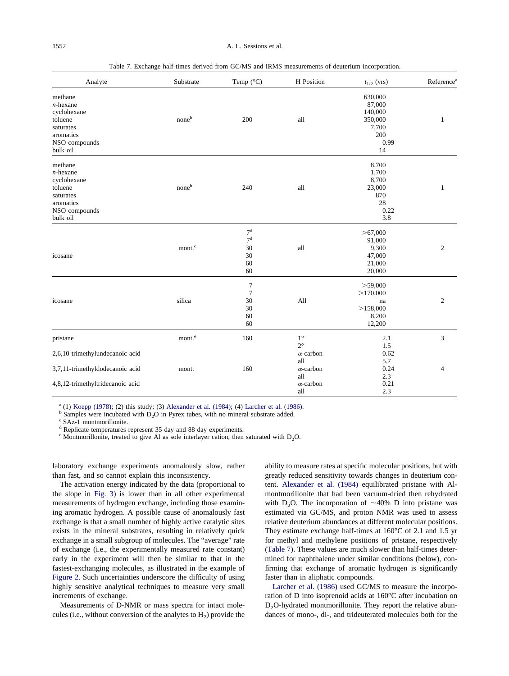<span id="page-7-0"></span>

| Analyte                                                                                                 | Substrate          | Temp $(^{\circ}C)$                                       | H Position                                         | $t_{1/2}$ (yrs)                                                       | Reference <sup>a</sup> |
|---------------------------------------------------------------------------------------------------------|--------------------|----------------------------------------------------------|----------------------------------------------------|-----------------------------------------------------------------------|------------------------|
| methane<br>$n$ -hexane<br>cyclohexane<br>toluene<br>saturates<br>aromatics<br>NSO compounds<br>bulk oil | noneb              | 200                                                      | all                                                | 630,000<br>87,000<br>140,000<br>350,000<br>7,700<br>200<br>0.99<br>14 | $\mathbf{1}$           |
| methane<br>$n$ -hexane<br>cyclohexane<br>toluene<br>saturates<br>aromatics<br>NSO compounds<br>bulk oil | noneb              | 240                                                      | all                                                | 8,700<br>1,700<br>8,700<br>23,000<br>870<br>28<br>0.22<br>3.8         | $\mathbf{1}$           |
| icosane                                                                                                 | mont. <sup>c</sup> | 7 <sup>d</sup><br>7 <sup>d</sup><br>30<br>30<br>60<br>60 | all                                                | >67,000<br>91,000<br>9,300<br>47,000<br>21,000<br>20,000              | $\boldsymbol{2}$       |
| icosane                                                                                                 | silica             | $\tau$<br>$\overline{7}$<br>30<br>30<br>60<br>60         | All                                                | >59,000<br>>170,000<br>na<br>>158,000<br>8,200<br>12,200              | $\mathfrak{2}$         |
| pristane                                                                                                | mont. <sup>e</sup> | 160                                                      | $1^{\circ}$<br>$2^{\circ}$                         | 2.1<br>1.5                                                            | 3                      |
| 2,6,10-trimethylundecanoic acid                                                                         |                    |                                                          | $\alpha$ -carbon                                   | 0.62                                                                  |                        |
| 3,7,11-trimethyldodecanoic acid                                                                         | mont.              | 160                                                      | all<br>$\alpha$ -carbon<br>all<br>$\alpha$ -carbon | 5.7<br>0.24<br>2.3                                                    | $\overline{4}$         |
| 4,8,12-trimethyltridecanoic acid                                                                        |                    |                                                          | all                                                | 0.21<br>2.3                                                           |                        |

Table 7. Exchange half-times derived from GC/MS and IRMS measurements of deuterium incorporation.

<sup>a</sup> (1) [Koepp \(1978\);](#page-13-0) (2) this study; (3) [Alexander et al. \(1984\);](#page-13-0) (4) [Larcher et al. \(1986\).](#page-13-0) b Samples were incubated with D<sub>2</sub>O in Pyrex tubes, with no mineral substrate added. c SAz-1 montmorillonite.

<sup>d</sup> Replicate temperatures represent 35 day and 88 day experiments.

 $\degree$  Montmorillonite, treated to give Al as sole interlayer cation, then saturated with D<sub>2</sub>O.

laboratory exchange experiments anomalously slow, rather than fast, and so cannot explain this inconsistency.

The activation energy indicated by the data (proportional to the slope in [Fig. 3\)](#page-8-0) is lower than in all other experimental measurements of hydrogen exchange, including those examining aromatic hydrogen. A possible cause of anomalously fast exchange is that a small number of highly active catalytic sites exists in the mineral substrates, resulting in relatively quick exchange in a small subgroup of molecules. The "average" rate of exchange (i.e., the experimentally measured rate constant) early in the experiment will then be similar to that in the fastest-exchanging molecules, as illustrated in the example of [Figure 2.](#page-4-0) Such uncertainties underscore the difficulty of using highly sensitive analytical techniques to measure very small increments of exchange.

Measurements of D-NMR or mass spectra for intact molecules (i.e., without conversion of the analytes to  $H_2$ ) provide the ability to measure rates at specific molecular positions, but with greatly reduced sensitivity towards changes in deuterium content. [Alexander et al. \(1984\)](#page-13-0) equilibrated pristane with Almontmorillonite that had been vacuum-dried then rehydrated with D<sub>2</sub>O. The incorporation of  $\sim$ 40% D into pristane was estimated via GC/MS, and proton NMR was used to assess relative deuterium abundances at different molecular positions. They estimate exchange half-times at 160°C of 2.1 and 1.5 yr for methyl and methylene positions of pristane, respectively (Table 7). These values are much slower than half-times determined for naphthalene under similar conditions (below), confirming that exchange of aromatic hydrogen is significantly faster than in aliphatic compounds.

[Larcher et al. \(1986\)](#page-13-0) used GC/MS to measure the incorporation of D into isoprenoid acids at 160°C after incubation on D<sub>2</sub>O-hydrated montmorillonite. They report the relative abundances of mono-, di-, and trideuterated molecules both for the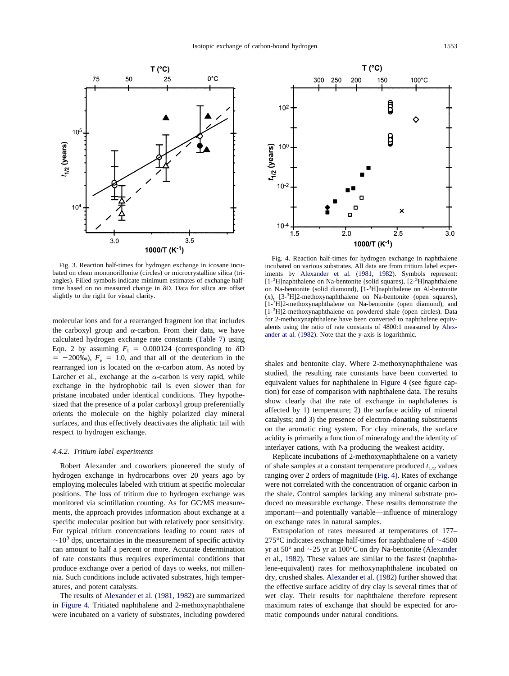<span id="page-8-0"></span>

 $3.5$ 

Fig. 3. Reaction half-times for hydrogen exchange in icosane incubated on clean montmorillonite (circles) or microcrystalline silica (triangles). Filled symbols indicate minimum estimates of exchange halftime based on no measured change in  $\delta D$ . Data for silica are offset slightly to the right for visual clarity.

1000/T  $(K^{-1})$ 

 $3.0\,$ 

molecular ions and for a rearranged fragment ion that includes the carboxyl group and  $\alpha$ -carbon. From their data, we have calculated hydrogen exchange rate constants [\(Table 7\)](#page-7-0) using Eqn. 2 by assuming  $F_i = 0.000124$  (corresponding to  $\delta D$  $=$  -200‰),  $F_e$  = 1.0, and that all of the deuterium in the rearranged ion is located on the  $\alpha$ -carbon atom. As noted by Larcher et al., exchange at the  $\alpha$ -carbon is very rapid, while exchange in the hydrophobic tail is even slower than for pristane incubated under identical conditions. They hypothesized that the presence of a polar carboxyl group preferentially orients the molecule on the highly polarized clay mineral surfaces, and thus effectively deactivates the aliphatic tail with respect to hydrogen exchange.

### *4.4.2. Tritium label experiments*

 $\gamma_{1/2}$  (years)

Robert Alexander and coworkers pioneered the study of hydrogen exchange in hydrocarbons over 20 years ago by employing molecules labeled with tritium at specific molecular positions. The loss of tritium due to hydrogen exchange was monitored via scintillation counting. As for GC/MS measurements, the approach provides information about exchange at a specific molecular position but with relatively poor sensitivity. For typical tritium concentrations leading to count rates of  $\sim$ 10<sup>3</sup> dps, uncertainties in the measurement of specific activity can amount to half a percent or more. Accurate determination of rate constants thus requires experimental conditions that produce exchange over a period of days to weeks, not millennia. Such conditions include activated substrates, high temperatures, and potent catalysts.

The results of [Alexander et al. \(1981, 1982\)](#page-13-0) are summarized in Figure 4. Tritiated naphthalene and 2-methoxynaphthalene were incubated on a variety of substrates, including powdered



Fig. 4. Reaction half-times for hydrogen exchange in naphthalene incubated on various substrates. All data are from tritium label experiments by [Alexander et al. \(1981, 1982\)](#page-13-0). Symbols represent: [1-<sup>3</sup>H]naphthalene on Na-bentonite (solid squares), [2-<sup>3</sup>H]naphthalene on Na-bentonite (solid diamond), [1-<sup>3</sup> H]naphthalene on Al-bentonite (x), [3-3 H]2-methoxynaphthalene on Na-bentonite (open squares), [1-3 H]2-methoxynaphthalene on Na-bentonite (open diamond), and [1-3 H]2-methoxynaphthalene on powdered shale (open circles). Data for 2-methoxynaphthalene have been converted to naphthalene equivalents using the ratio of rate constants of 4800:1 measured by [Alex](#page-13-0)[ander at al. \(1982\).](#page-13-0) Note that the y-axis is logarithmic.

shales and bentonite clay. Where 2-methoxynaphthalene was studied, the resulting rate constants have been converted to equivalent values for naphthalene in Figure 4 (see figure caption) for ease of comparison with naphthalene data. The results show clearly that the rate of exchange in naphthalenes is affected by 1) temperature; 2) the surface acidity of mineral catalysts; and 3) the presence of electron-donating substituents on the aromatic ring system. For clay minerals, the surface acidity is primarily a function of mineralogy and the identity of interlayer cations, with Na producing the weakest acidity.

Replicate incubations of 2-methoxynaphthalene on a variety of shale samples at a constant temperature produced  $t_{1/2}$  values ranging over 2 orders of magnitude (Fig. 4). Rates of exchange were not correlated with the concentration of organic carbon in the shale. Control samples lacking any mineral substrate produced no measurable exchange. These results demonstrate the important—and potentially variable—influence of mineralogy on exchange rates in natural samples.

Extrapolation of rates measured at temperatures of 177– 275 $\degree$ C indicates exchange half-times for naphthalene of  $\sim$ 4500 yr at  $50^{\circ}$  and  $\sim$  25 yr at  $100^{\circ}$ C on dry Na-bentonite [\(Alexander](#page-13-0) [et al., 1982\)](#page-13-0). These values are similar to the fastest (naphthalene-equivalent) rates for methoxynaphthalene incubated on dry, crushed shales. [Alexander et al. \(1982\)](#page-13-0) further showed that the effective surface acidity of dry clay is several times that of wet clay. Their results for naphthalene therefore represent maximum rates of exchange that should be expected for aromatic compounds under natural conditions.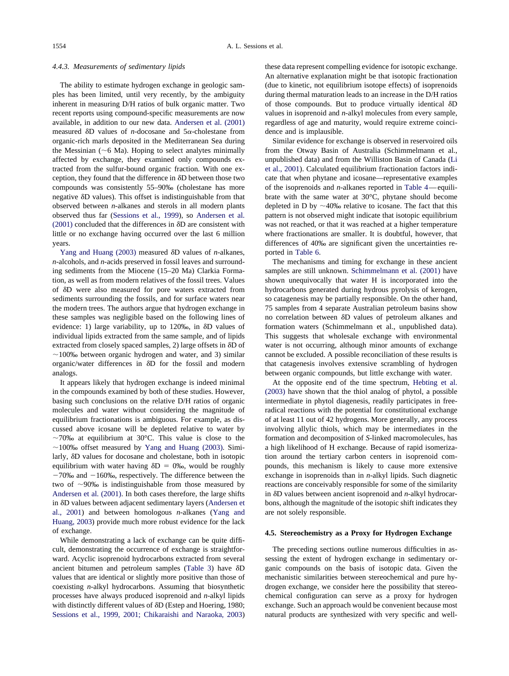### *4.4.3. Measurements of sedimentary lipids*

The ability to estimate hydrogen exchange in geologic samples has been limited, until very recently, by the ambiguity inherent in measuring D/H ratios of bulk organic matter. Two recent reports using compound-specific measurements are now available, in addition to our new data. [Andersen et al. \(2001\)](#page-13-0) measured  $\delta$ D values of *n*-docosane and  $5\alpha$ -cholestane from organic-rich marls deposited in the Mediterranean Sea during the Messinian ( $\sim$ 6 Ma). Hoping to select analytes minimally affected by exchange, they examined only compounds extracted from the sulfur-bound organic fraction. With one exception, they found that the difference in  $\delta D$  between those two compounds was consistently 55–90‰ (cholestane has more negative δD values). This offset is indistinguishable from that observed between *n*-alkanes and sterols in all modern plants observed thus far [\(Sessions et al., 1999\)](#page-14-0), so [Andersen et al.](#page-13-0)  $(2001)$  concluded that the differences in  $\delta$ D are consistent with little or no exchange having occurred over the last 6 million years.

[Yang and Huang \(2003\)](#page-14-0) measured D values of *n*-alkanes, *n*-alcohols, and *n*-acids preserved in fossil leaves and surrounding sediments from the Miocene (15–20 Ma) Clarkia Formation, as well as from modern relatives of the fossil trees. Values of  $\delta$ D were also measured for pore waters extracted from sediments surrounding the fossils, and for surface waters near the modern trees. The authors argue that hydrogen exchange in these samples was negligible based on the following lines of evidence: 1) large variability, up to 120‰, in  $\delta$ D values of individual lipids extracted from the same sample, and of lipids extracted from closely spaced samples,  $2$ ) large offsets in  $\delta$ D of  $\sim$ 100‰ between organic hydrogen and water, and 3) similar organic/water differences in  $\delta D$  for the fossil and modern analogs.

It appears likely that hydrogen exchange is indeed minimal in the compounds examined by both of these studies. However, basing such conclusions on the relative D/H ratios of organic molecules and water without considering the magnitude of equilibrium fractionations is ambiguous. For example, as discussed above icosane will be depleted relative to water by  $\sim$ 70‰ at equilibrium at 30°C. This value is close to the  $\sim$ 100‰ offset measured by [Yang and Huang \(2003\).](#page-14-0) Similarly,  $\delta$ D values for docosane and cholestane, both in isotopic equilibrium with water having  $\delta D = 0\%$ , would be roughly  $-70\%$  and  $-160\%$ , respectively. The difference between the two of  $\sim$ 90‰ is indistinguishable from those measured by [Andersen et al. \(2001\).](#page-13-0) In both cases therefore, the large shifts in δD values between adjacent sedimentary layers [\(Andersen et](#page-13-0) [al., 2001\)](#page-13-0) and between homologous *n*-alkanes [\(Yang and](#page-14-0) [Huang, 2003\)](#page-14-0) provide much more robust evidence for the lack of exchange.

While demonstrating a lack of exchange can be quite difficult, demonstrating the occurrence of exchange is straightforward. Acyclic isoprenoid hydrocarbons extracted from several ancient bitumen and petroleum samples [\(Table 3\)](#page-2-0) have  $\delta D$ values that are identical or slightly more positive than those of coexisting *n*-alkyl hydrocarbons. Assuming that biosynthetic processes have always produced isoprenoid and *n*-alkyl lipids with distinctly different values of  $\delta D$  (Estep and Hoering, 1980; [Sessions et al., 1999, 2001; Chikaraishi and Naraoka, 2003\)](#page-14-0)

these data represent compelling evidence for isotopic exchange. An alternative explanation might be that isotopic fractionation (due to kinetic, not equilibrium isotope effects) of isoprenoids during thermal maturation leads to an increase in the D/H ratios of those compounds. But to produce virtually identical  $\delta D$ values in isoprenoid and *n*-alkyl molecules from every sample, regardless of age and maturity, would require extreme coincidence and is implausible.

Similar evidence for exchange is observed in reservoired oils from the Otway Basin of Australia (Schimmelmann et al., unpublished data) and from the Williston Basin of Canada [\(Li](#page-14-0) [et al., 2001\)](#page-14-0). Calculated equilibrium fractionation factors indicate that when phytane and icosane—representative examples of the isoprenoids and *n*-alkanes reported in [Table 4—](#page-3-0)equilibrate with the same water at 30°C, phytane should become depleted in D by  $\sim$ 40‰ relative to icosane. The fact that this pattern is not observed might indicate that isotopic equilibrium was not reached, or that it was reached at a higher temperature where fractionations are smaller. It is doubtful, however, that differences of 40‰ are significant given the uncertainties reported in [Table 6.](#page-6-0)

The mechanisms and timing for exchange in these ancient samples are still unknown. [Schimmelmann et al. \(2001\)](#page-14-0) have shown unequivocally that water H is incorporated into the hydrocarbons generated during hydrous pyrolysis of kerogen, so catagenesis may be partially responsible. On the other hand, 75 samples from 4 separate Australian petroleum basins show no correlation between δD values of petroleum alkanes and formation waters (Schimmelmann et al., unpublished data). This suggests that wholesale exchange with environmental water is not occurring, although minor amounts of exchange cannot be excluded. A possible reconciliation of these results is that catagenesis involves extensive scrambling of hydrogen between organic compounds, but little exchange with water.

At the opposite end of the time spectrum, [Hebting et al.](#page-13-0) [\(2003\)](#page-13-0) have shown that the thiol analog of phytol, a possible intermediate in phytol diagenesis, readily participates in freeradical reactions with the potential for constitutional exchange of at least 11 out of 42 hydrogens. More generally, any process involving allylic thiols, which may be intermediates in the formation and decomposition of *S*-linked macromolecules, has a high likelihood of H exchange. Because of rapid isomerization around the tertiary carbon centers in isoprenoid compounds, this mechanism is likely to cause more extensive exchange in isoprenoids than in *n*-alkyl lipids. Such diagnetic reactions are conceivably responsible for some of the similarity in δD values between ancient isoprenoid and *n*-alkyl hydrocarbons, although the magnitude of the isotopic shift indicates they are not solely responsible.

### **4.5. Stereochemistry as a Proxy for Hydrogen Exchange**

The preceding sections outline numerous difficulties in assessing the extent of hydrogen exchange in sedimentary organic compounds on the basis of isotopic data. Given the mechanistic similarities between stereochemical and pure hydrogen exchange, we consider here the possibility that stereochemical configuration can serve as a proxy for hydrogen exchange. Such an approach would be convenient because most natural products are synthesized with very specific and well-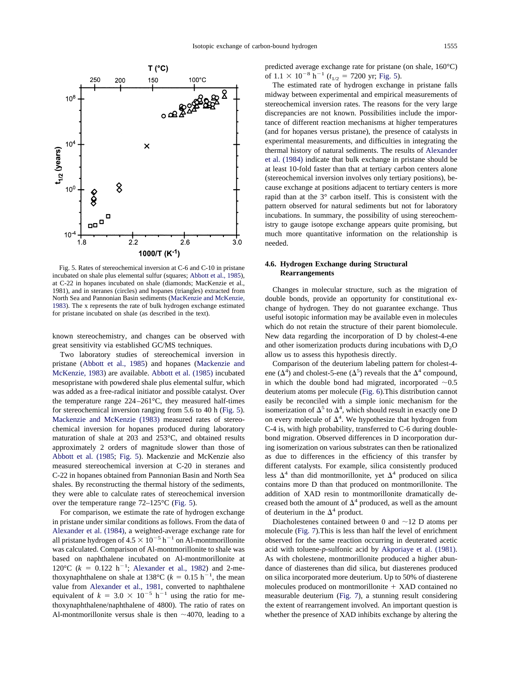

Fig. 5. Rates of stereochemical inversion at C-6 and C-10 in pristane incubated on shale plus elemental sulfur (squares; [Abbott et al., 1985\)](#page-13-0), at C-22 in hopanes incubated on shale (diamonds; MacKenzie et al., 1981), and in steranes (circles) and hopanes (triangles) extracted from North Sea and Pannonian Basin sediments [\(MacKenzie and McKenzie,](#page-14-0) [1983\)](#page-14-0). The x represents the rate of bulk hydrogen exchange estimated for pristane incubated on shale (as described in the text).

known stereochemistry, and changes can be observed with great sensitivity via established GC/MS techniques.

Two laboratory studies of stereochemical inversion in pristane [\(Abbott et al., 1985\)](#page-13-0) and hopanes [\(Mackenzie and](#page-14-0) [McKenzie, 1983\)](#page-14-0) are available. [Abbott et al. \(1985\)](#page-13-0) incubated mesopristane with powdered shale plus elemental sulfur, which was added as a free-radical initiator and possible catalyst. Over the temperature range 224–261°C, they measured half-times for stereochemical inversion ranging from 5.6 to 40 h (Fig. 5). [Mackenzie and McKenzie \(1983\)](#page-14-0) measured rates of stereochemical inversion for hopanes produced during laboratory maturation of shale at 203 and 253°C, and obtained results approximately 2 orders of magnitude slower than those of [Abbott et al. \(1985;](#page-13-0) Fig. 5). Mackenzie and McKenzie also measured stereochemical inversion at C-20 in steranes and C-22 in hopanes obtained from Pannonian Basin and North Sea shales. By reconstructing the thermal history of the sediments, they were able to calculate rates of stereochemical inversion over the temperature range 72–125°C (Fig. 5).

For comparison, we estimate the rate of hydrogen exchange in pristane under similar conditions as follows. From the data of [Alexander et al. \(1984\),](#page-13-0) a weighted-average exchange rate for all pristane hydrogen of  $4.5 \times 10^{-5}$  h<sup>-1</sup> on Al-montmorillonite was calculated. Comparison of Al-montmorillonite to shale was based on naphthalene incubated on Al-montmorillonite at 120°C ( $k = 0.122$  h<sup>-1</sup>; [Alexander et al., 1982\)](#page-13-0) and 2-methoxynaphthalene on shale at 138°C ( $k = 0.15$  h<sup>-1</sup>, the mean value from [Alexander et al., 1981,](#page-13-0) converted to naphthalene equivalent of  $k = 3.0 \times 10^{-5}$  h<sup>-1</sup> using the ratio for methoxynaphthalene/naphthalene of 4800). The ratio of rates on Al-montmorillonite versus shale is then  $\sim$ 4070, leading to a

predicted average exchange rate for pristane (on shale, 160°C) of  $1.1 \times 10^{-8}$  h<sup>-1</sup> ( $t_{1/2}$  = 7200 yr; Fig. 5).

The estimated rate of hydrogen exchange in pristane falls midway between experimental and empirical measurements of stereochemical inversion rates. The reasons for the very large discrepancies are not known. Possibilities include the importance of different reaction mechanisms at higher temperatures (and for hopanes versus pristane), the presence of catalysts in experimental measurements, and difficulties in integrating the thermal history of natural sediments. The results of [Alexander](#page-13-0) [et al. \(1984\)](#page-13-0) indicate that bulk exchange in pristane should be at least 10-fold faster than that at tertiary carbon centers alone (stereochemical inversion involves only tertiary positions), because exchange at positions adjacent to tertiary centers is more rapid than at the 3° carbon itself. This is consistent with the pattern observed for natural sediments but not for laboratory incubations. In summary, the possibility of using stereochemistry to gauge isotope exchange appears quite promising, but much more quantitative information on the relationship is needed.

# **4.6. Hydrogen Exchange during Structural Rearrangements**

Changes in molecular structure, such as the migration of double bonds, provide an opportunity for constitutional exchange of hydrogen. They do not guarantee exchange. Thus useful isotopic information may be available even in molecules which do not retain the structure of their parent biomolecule. New data regarding the incorporation of D by cholest-4-ene and other isomerization products during incubations with  $D_2O$ allow us to assess this hypothesis directly.

Comparison of the deuterium labeling pattern for cholest-4 ene ( $\Delta^4$ ) and cholest-5-ene ( $\Delta^5$ ) reveals that the  $\Delta^4$  compound, in which the double bond had migrated, incorporated  $\sim 0.5$ deuterium atoms per molecule [\(Fig. 6\)](#page-11-0).This distribution cannot easily be reconciled with a simple ionic mechanism for the isomerization of  $\Delta^5$  to  $\Delta^4$ , which should result in exactly one D on every molecule of  $\Delta^4$ . We hypothesize that hydrogen from C-4 is, with high probability, transferred to C-6 during doublebond migration. Observed differences in D incorporation during isomerization on various substrates can then be rationalized as due to differences in the efficiency of this transfer by different catalysts. For example, silica consistently produced less  $\Delta^4$  than did montmorillonite, yet  $\Delta^4$  produced on silica contains more D than that produced on montmorillonite. The addition of XAD resin to montmorillonite dramatically decreased both the amount of  $\Delta^4$  produced, as well as the amount of deuterium in the  $\Delta^4$  product.

Diacholestenes contained between 0 and  $\sim$  12 D atoms per molecule [\(Fig. 7\)](#page-11-0).This is less than half the level of enrichment observed for the same reaction occurring in deuterated acetic acid with toluene-*p*-sulfonic acid by [Akporiaye et al. \(1981\).](#page-13-0) As with cholestene, montmorillonite produced a higher abundance of diasterenes than did silica, but diasterenes produced on silica incorporated more deuterium. Up to 50% of diasterene molecules produced on montmorillonite  $+$  XAD contained no measurable deuterium [\(Fig. 7\)](#page-11-0), a stunning result considering the extent of rearrangement involved. An important question is whether the presence of XAD inhibits exchange by altering the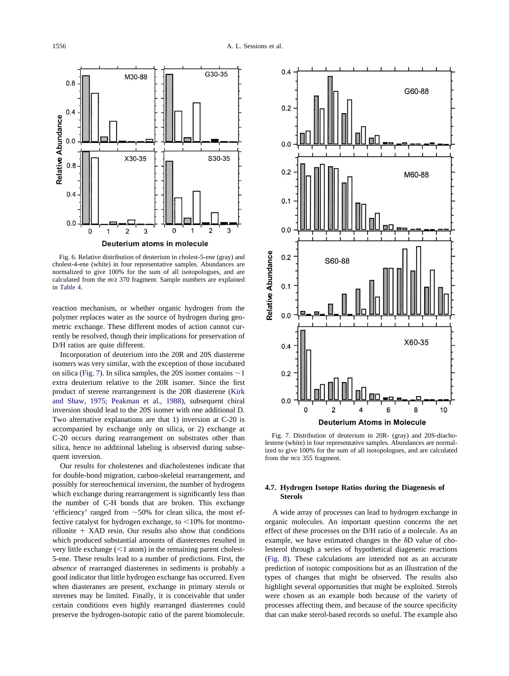G30-35

S30-35

 $\mathfrak{p}$ 

3

Fig. 6. Relative distribution of deuterium in cholest-5-ene (gray) and cholest-4-ene (white) in four representative samples. Abundances are normalized to give 100% for the sum of all isotopologues, and are calculated from the *m*/*z* 370 fragment. Sample numbers are explained in [Table 4.](#page-3-0)

Deuterium atoms in molecule

3

 $\Omega$ 

M30-88

X30-35

 $\overline{c}$ 

reaction mechanism, or whether organic hydrogen from the polymer replaces water as the source of hydrogen during geometric exchange. These different modes of action cannot currently be resolved, though their implications for preservation of D/H ratios are quite different.

Incorporation of deuterium into the 20R and 20S diasterene isomers was very similar, with the exception of those incubated on silica (Fig. 7). In silica samples, the 20S isomer contains  $\sim$  1 extra deuterium relative to the 20R isomer. Since the first product of sterene rearrangement is the 20R diasterene [\(Kirk](#page-13-0) [and Shaw, 1975; Peakman et al., 1988\)](#page-13-0), subsequent chiral inversion should lead to the 20S isomer with one additional D. Two alternative explanations are that 1) inversion at C-20 is accompanied by exchange only on silica, or 2) exchange at C-20 occurs during rearrangement on substrates other than silica, hence no additional labeling is observed during subsequent inversion.

Our results for cholestenes and diacholestenes indicate that for double-bond migration, carbon-skeletal rearrangement, and possibly for stereochemical inversion, the number of hydrogens which exchange during rearrangement is significantly less than the number of C-H bonds that are broken. This exchange 'efficiency' ranged from  $\sim$  50% for clean silica, the most effective catalyst for hydrogen exchange, to  $\leq$  10% for montmorillonite  $+$  XAD resin. Our results also show that conditions which produced substantial amounts of diasterenes resulted in very little exchange  $(< 1$  atom) in the remaining parent cholest-5-ene. These results lead to a number of predictions. First, the *absence* of rearranged diasterenes in sediments is probably a good indicator that little hydrogen exchange has occurred. Even when diasteranes are present, exchange in primary sterols or sterenes may be limited. Finally, it is conceivable that under certain conditions even highly rearranged diasterenes could preserve the hydrogen-isotopic ratio of the parent biomolecule.



Fig. 7. Distribution of deuterium in 20R- (gray) and 20S-diacholestene (white) in four representative samples. Abundances are normalized to give 100% for the sum of all isotopologues, and are calculated from the *m*/*z* 355 fragment.

# **4.7. Hydrogen Isotope Ratios during the Diagenesis of Sterols**

A wide array of processes can lead to hydrogen exchange in organic molecules. An important question concerns the net effect of these processes on the D/H ratio of a molecule. As an example, we have estimated changes in the  $\delta$ D value of cholesterol through a series of hypothetical diagenetic reactions [\(Fig. 8\)](#page-12-0). These calculations are intended not as an accurate prediction of isotopic compositions but as an illustration of the types of changes that might be observed. The results also highlight several opportunities that might be exploited. Sterols were chosen as an example both because of the variety of processes affecting them, and because of the source specificity that can make sterol-based records so useful. The example also

<span id="page-11-0"></span> $0.8$ 

 $0.4$ 

 $0.8$ 

 $0.4$ 

 $0.0$ 

 $\mathbf{0}$ 

1

Relative Abundance 0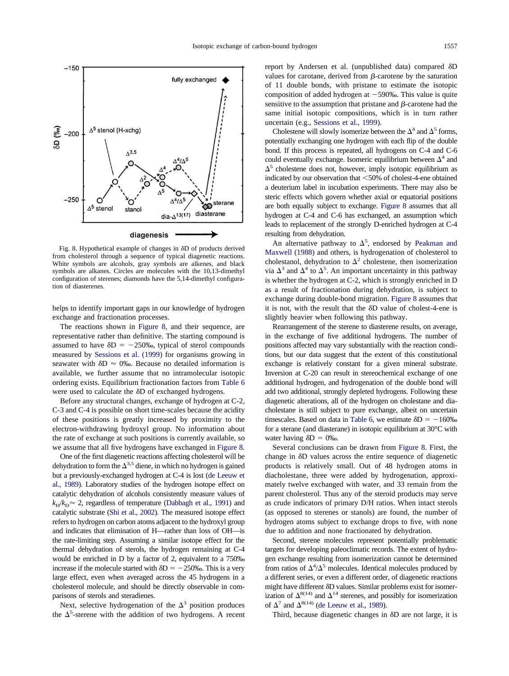<span id="page-12-0"></span>

Fig. 8. Hypothetical example of changes in  $\delta D$  of products derived from cholesterol through a sequence of typical diagenetic reactions. White symbols are alcohols, gray symbols are alkenes, and black symbols are alkanes. Circles are molecules with the 10,13-dimethyl configuration of sterenes; diamonds have the 5,14-dimethyl configuration of diasterenes.

helps to identify important gaps in our knowledge of hydrogen exchange and fractionation processes.

The reactions shown in Figure 8, and their sequence, are representative rather than definitive. The starting compound is assumed to have  $\delta D = -250\%$ , typical of sterol compounds measured by [Sessions et al. \(1999\)](#page-14-0) for organisms growing in seawater with  $\delta D \approx 0\%$ . Because no detailed information is available, we further assume that no intramolecular isotopic ordering exists. Equilibrium fractionation factors from [Table 6](#page-6-0) were used to calculate the  $\delta$ D of exchanged hydrogens.

Before any structural changes, exchange of hydrogen at C-2, C-3 and C-4 is possible on short time-scales because the acidity of these positions is greatly increased by proximity to the electron-withdrawing hydroxyl group. No information about the rate of exchange at such positions is currently available, so we assume that all five hydrogens have exchanged in Figure 8.

One of the first diagenetic reactions affecting cholesterol will be dehydration to form the  $\Delta^{3,5}$  diene, in which no hydrogen is gained but a previously-exchanged hydrogen at C-4 is lost [\(de Leeuw et](#page-13-0) [al., 1989\)](#page-13-0). Laboratory studies of the hydrogen isotope effect on catalytic dehydration of alcohols consistently measure values of  $k_H/k_D \approx 2$ , regardless of temperature [\(Dabbagh et al., 1991\)](#page-13-0) and catalytic substrate [\(Shi et al., 2002\)](#page-14-0). The measured isotope effect refers to hydrogen on carbon atoms adjacent to the hydroxyl group and indicates that elimination of H—rather than loss of OH—is the rate-limiting step. Assuming a similar isotope effect for the thermal dehydration of sterols, the hydrogen remaining at C-4 would be enriched in D by a factor of 2, equivalent to a 750‰ increase if the molecule started with  $\delta D = -250\%$ . This is a very large effect, even when averaged across the 45 hydrogens in a cholesterol molecule, and should be directly observable in comparisons of sterols and steradienes.

Next, selective hydrogenation of the  $\Delta^3$  position produces the  $\Delta^5$ -sterene with the addition of two hydrogens. A recent report by Andersen et al. (unpublished data) compared  $\delta D$ values for carotane, derived from  $\beta$ -carotene by the saturation of 11 double bonds, with pristane to estimate the isotopic composition of added hydrogen at  $-590\%$ . This value is quite sensitive to the assumption that pristane and  $\beta$ -carotene had the same initial isotopic compositions, which is in turn rather uncertain (e.g., [Sessions et al., 1999\)](#page-14-0).

Cholestene will slowly isomerize between the  $\Delta^4$  and  $\Delta^5$  forms, potentially exchanging one hydrogen with each flip of the double bond. If this process is repeated, all hydrogens on C-4 and C-6 could eventually exchange. Isomeric equilibrium between  $\Delta^4$  and  $\Delta^5$  cholestene does not, however, imply isotopic equilibrium as indicated by our observation that 50% of cholest-4-ene obtained a deuterium label in incubation experiments. There may also be steric effects which govern whether axial or equatorial positions are both equally subject to exchange. Figure 8 assumes that all hydrogen at C-4 and C-6 has exchanged, an assumption which leads to replacement of the strongly D-enriched hydrogen at C-4 resulting from dehydration.

An alternative pathway to  $\Delta^5$ , endorsed by [Peakman and](#page-14-0) [Maxwell \(1988\)](#page-14-0) and others, is hydrogenation of cholesterol to cholestanol, dehydration to  $\Delta^2$  cholestene, then isomerization via  $\Delta^3$  and  $\Delta^4$  to  $\Delta^5$ . An important uncertainty in this pathway is whether the hydrogen at C-2, which is strongly enriched in D as a result of fractionation during dehydration, is subject to exchange during double-bond migration. Figure 8 assumes that it is not, with the result that the  $\delta D$  value of cholest-4-ene is slightly heavier when following this pathway.

Rearrangement of the sterene to diasterene results, on average, in the exchange of five additional hydrogens. The number of positions affected may vary substantially with the reaction conditions, but our data suggest that the extent of this constitutional exchange is relatively constant for a given mineral substrate. Inversion at C-20 can result in stereochemical exchange of one additional hydrogen, and hydrogenation of the double bond will add two additional, strongly depleted hydrogens. Following these diagenetic alterations, all of the hydrogen on cholestane and diacholestane is still subject to pure exchange, albeit on uncertain timescales. Based on data in [Table 6,](#page-6-0) we estimate  $\delta D = -160\%$ for a sterane (and diasterane) in isotopic equilibrium at 30°C with water having  $\delta D = 0%$ .

Several conclusions can be drawn from Figure 8. First, the change in  $\delta$ D values across the entire sequence of diagenetic products is relatively small. Out of 48 hydrogen atoms in diacholestane, three were added by hydrogenation, approximately twelve exchanged with water, and 33 remain from the parent cholesterol. Thus any of the steroid products may serve as crude indicators of primary D/H ratios. When intact sterols (as opposed to sterenes or stanols) are found, the number of hydrogen atoms subject to exchange drops to five, with none due to addition and none fractionated by dehydration.

Second, sterene molecules represent potentially problematic targets for developing paleoclimatic records. The extent of hydrogen exchange resulting from isomerization cannot be determined from ratios of  $\Delta^4/\Delta^5$  molecules. Identical molecules produced by a different series, or even a different order, of diagenetic reactions might have different  $\delta D$  values. Similar problems exist for isomerization of  $\Delta^{8(14)}$  and  $\Delta^{14}$  sterenes, and possibly for isomerization of  $\Delta^7$  and  $\Delta^{8(14)}$  [\(de Leeuw et al., 1989\)](#page-13-0).

Third, because diagenetic changes in  $\delta$ D are not large, it is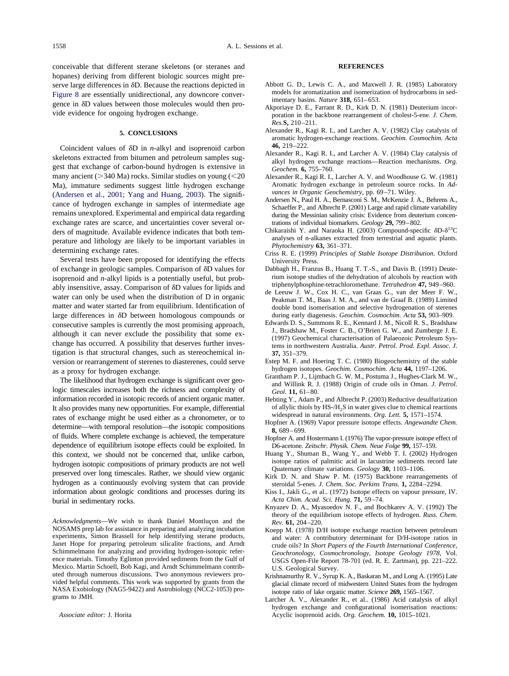<span id="page-13-0"></span>conceivable that different sterane skeletons (or steranes and hopanes) deriving from different biologic sources might preserve large differences in  $\delta D$ . Because the reactions depicted in [Figure 8](#page-12-0) are essentially unidirectional, any downcore convergence in  $\delta$ D values between those molecules would then provide evidence for ongoing hydrogen exchange.

### **5. CONCLUSIONS**

Coincident values of  $\delta D$  in *n*-alkyl and isoprenoid carbon skeletons extracted from bitumen and petroleum samples suggest that exchange of carbon-bound hydrogen is extensive in many ancient (> 340 Ma) rocks. Similar studies on young (< 20 Ma), immature sediments suggest little hydrogen exchange (Andersen et al., 2001; Yang and Huang, 2003). The significance of hydrogen exchange in samples of intermediate age remains unexplored. Experimental and empirical data regarding exchange rates are scarce, and uncertainties cover several orders of magnitude. Available evidence indicates that both temperature and lithology are likely to be important variables in determining exchange rates.

Several tests have been proposed for identifying the effects of exchange in geologic samples. Comparison of  $\delta D$  values for isoprenoid and *n*-alkyl lipids is a potentially useful, but probably insensitive, assay. Comparison of  $\delta$ D values for lipids and water can only be used when the distribution of D in organic matter and water started far from equilibrium. Identification of large differences in  $\delta D$  between homologous compounds or consecutive samples is currently the most promising approach, although it can never exclude the possibility that some exchange has occurred. A possibility that deserves further investigation is that structural changes, such as stereochemical inversion or rearrangement of sterenes to diasterenes, could serve as a proxy for hydrogen exchange.

The likelihood that hydrogen exchange is significant over geologic timescales increases both the richness and complexity of information recorded in isotopic records of ancient organic matter. It also provides many new opportunities. For example, differential rates of exchange might be used either as a chronometer, or to determine—with temporal resolution—the isotopic compositions of fluids. Where complete exchange is achieved, the temperature dependence of equilibrium isotope effects could be exploited. In this context, we should not be concerned that, unlike carbon, hydrogen isotopic compositions of primary products are not well preserved over long timescales. Rather, we should view organic hydrogen as a continuously evolving system that can provide information about geologic conditions and processes during its burial in sedimentary rocks.

*Acknowledgments*—We wish to thank Daniel Montlucon and the NOSAMS prep lab for assistance in preparing and analyzing incubation experiments, Simon Brassell for help identifying sterane products, Janet Hope for preparing petroleum silicalite fractions, and Arndt Schimmelmann for analyzing and providing hydrogen-isotopic reference materials. Timothy Eglinton provided sediments from the Gulf of Mexico. Martin Schoell, Bob Kagi, and Arndt Schimmelmann contributed through numerous discussions. Two anonymous reviewers provided helpful comments. This work was supported by grants from the NASA Exobiology (NAG5-9422) and Astrobiology (NCC2-1053) programs to JMH.

*Associate editor:* J. Horita

### **REFERENCES**

- Abbott G. D., Lewis C. A., and Maxwell J. R. (1985) Laboratory models for aromatization and isomerization of hydrocarbons in sedimentary basins. *Nature* **318,** 651–653.
- Akporiaye D. E., Farrant R. D., Kirk D. N. (1981) Deuterium incorporation in the backbone rearrangement of cholest-5-ene. *J. Chem. Res.***S,** 210–211.
- Alexander R., Kagi R. I., and Larcher A. V. (1982) Clay catalysis of aromatic hydrogen-exchange reactions. *Geochim. Cosmochim. Acta* **46,** 219–222.
- Alexander R., Kagi R. I., and Larcher A. V. (1984) Clay catalysis of alkyl hydrogen exchange reactions—Reaction mechanisms. *Org. Geochem.* **6,** 755–760.
- Alexander R., Kagi R. I., Larcher A. V. and Woodhouse G. W. (1981) Aromatic hydrogen exchange in petroleum source rocks. In *Advances in Organic Geochemistry*, pp. 69–71. Wiley.
- Andersen N., Paul H. A., Bernasconi S. M., McKenzie J. A., Behrens A., Schaeffer P., and Albrecht P. (2001) Large and rapid climate variability during the Messinian salinity crisis: Evidence from deuterium concentrations of individual biomarkers. *Geology* **29,** 799–802.
- Chikaraishi Y. and Naraoka H. (2003) Compound-specific  $\delta D-\delta^{13}C$ analyses of n-alkanes extracted from terrestrial and aquatic plants. *Phytochemistry* **63,** 361–371.
- Criss R. E. (1999) *Principles of Stable Isotope Distribution*. Oxford University Press.
- Dabbagh H., Franzus B., Huang T. T.-S., and Davis B. (1991) Deuterium isotope studies of the dehydration of alcohols by reaction with triphenylphosphine-tetrachloromethane. *Tetrahedron* **47,** 949–960.
- de Leeuw J. W., Cox H. C., van Graas G., van der Meer F. W., Peakman T. M., Baas J. M. A., and van de Graaf B. (1989) Limited double bond isomerisation and selective hydrogenation of sterenes during early diagenesis. *Geochim. Cosmochim. Acta* **53,** 903–909.
- Edwards D. S., Summons R. E., Kennard J. M., Nicoll R. S., Bradshaw J., Bradshaw M., Foster C. B., O'Brien G. W., and Zumberge J. E. (1997) Geochemical characterisation of Palaeozoic Petroleum Systems in northwestern Australia. *Austr. Petrol. Prod. Expl. Assoc. J.* **37,** 351–379.
- Estep M. F. and Hoering T. C. (1980) Biogeochemistry of the stable hydrogen isotopes. *Geochim. Cosmochim. Acta* **44,** 1197–1206.
- Grantham P. J., Lijmbach G. W. M., Postuma J., Hughes-Clark M. W., and Willink R. J. (1988) Origin of crude oils in Oman. *J. Petrol. Geol.* **11,** 61–80.
- Hebting Y., Adam P., and Albrecht P. (2003) Reductive desulfurization of allylic thiols by  $HS - / H<sub>2</sub>S$  in water gives clue to chemical reactions widespread in natural environments. *Org. Lett.* **5,** 1571–1574.
- Hopfner A. (1969) Vapor pressure isotope effects. *Angewandte Chem.* **8,** 689–699.
- Hopfner A. and Hostermann I. (1976) The vapor-pressure isotope effect of D6-acetone. *Zeitschr. Physik. Chem. Neue Folge* **99,** 157–159.
- Huang Y., Shuman B., Wang Y., and Webb T. I. (2002) Hydrogen isotope ratios of palmitic acid in lacustrine sediments record late Quaternary climate variations. *Geology* **30,** 1103–1106.
- Kirk D. N. and Shaw P. M. (1975) Backbone rearrangements of steroidal 5-enes. *J. Chem. Soc. Perkins Trans.* **1,** 2284–2294.
- Kiss I., Jakli G., et al.. (1972) Isotope effects on vapour pressure, IV. *Acta Chim. Acad. Sci. Hung.* **71,** 59–74.
- Knyazev D. A., Myasoedov N. F., and Bochkarev A. V. (1992) The theory of the equilibrium isotope effects of hydrogen. *Russ. Chem. Rev.* **61,** 204–220.
- Koepp M. (1978) D/H isotope exchange reaction between petroleum and water: A contributory determinant for D/H-isotope ratios in crude oils? In *Short Papers of the Fourth International Conference, Geochronology, Cosmochronology, Isotope Geology 1978*, Vol. USGS Open-File Report 78-701 (ed. R. E. Zartman), pp. 221–222. U.S. Geological Survey.
- Krishnamurthy R. V., Syrup K. A., Baskaran M., and Long A. (1995) Late glacial climate record of midwestern United States from the hydrogen isotope ratio of lake organic matter. *Science* **269,** 1565–1567.
- Larcher A. V., Alexander R., et al.. (1986) Acid catalysis of alkyl hydrogen exchange and configurational isomerisation reactions: Acyclic isoprenoid acids. *Org. Geochem.* **10,** 1015–1021.